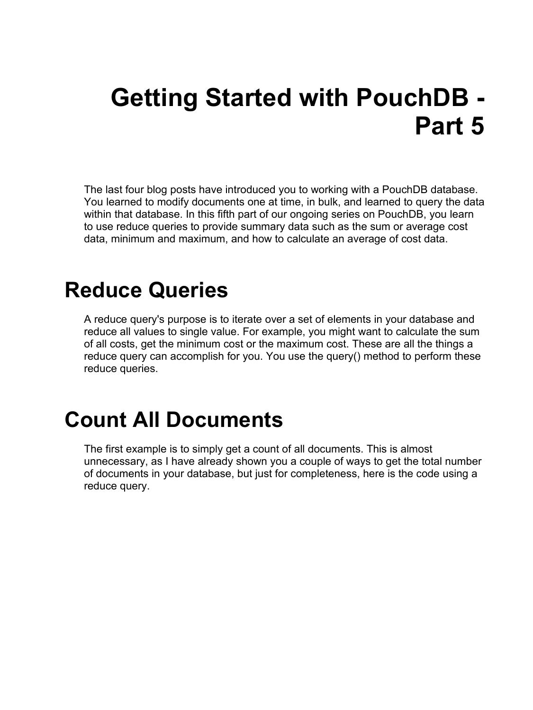# **Getting Started with PouchDB - Part 5**

The last four blog posts have introduced you to working with a PouchDB database. You learned to modify documents one at time, in bulk, and learned to query the data within that database. In this fifth part of our ongoing series on PouchDB, you learn to use reduce queries to provide summary data such as the sum or average cost data, minimum and maximum, and how to calculate an average of cost data.

#### **Reduce Queries**

A reduce query's purpose is to iterate over a set of elements in your database and reduce all values to single value. For example, you might want to calculate the sum of all costs, get the minimum cost or the maximum cost. These are all the things a reduce query can accomplish for you. You use the query() method to perform these reduce queries.

#### **Count All Documents**

The first example is to simply get a count of all documents. This is almost unnecessary, as I have already shown you a couple of ways to get the total number of documents in your database, but just for completeness, here is the code using a reduce query.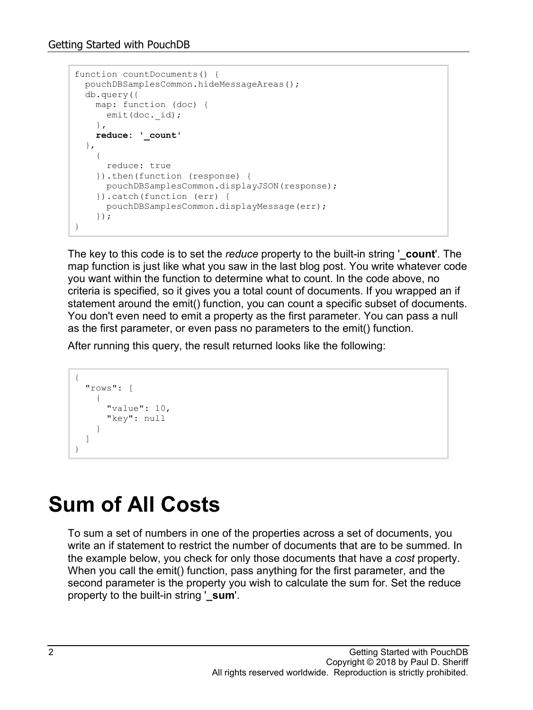```
function countDocuments() {
  pouchDBSamplesCommon.hideMessageAreas();
   db.query({
    map: function (doc) {
     emit(doc. id);
     },
    reduce: '_count'
   },
     {
      reduce: true
     }).then(function (response) {
      pouchDBSamplesCommon.displayJSON(response);
     }).catch(function (err) {
      pouchDBSamplesCommon.displayMessage(err);
     });
}
```
The key to this code is to set the *reduce* property to the built-in string '**\_count**'. The map function is just like what you saw in the last blog post. You write whatever code you want within the function to determine what to count. In the code above, no criteria is specified, so it gives you a total count of documents. If you wrapped an if statement around the emit() function, you can count a specific subset of documents. You don't even need to emit a property as the first parameter. You can pass a null as the first parameter, or even pass no parameters to the emit() function.

After running this query, the result returned looks like the following:

```
{
   "rows": [
     {
        "value": 10,
       "key": null
 }
   ]
}
```
## **Sum of All Costs**

To sum a set of numbers in one of the properties across a set of documents, you write an if statement to restrict the number of documents that are to be summed. In the example below, you check for only those documents that have a *cost* property. When you call the emit() function, pass anything for the first parameter, and the second parameter is the property you wish to calculate the sum for. Set the reduce property to the built-in string '**\_sum**'.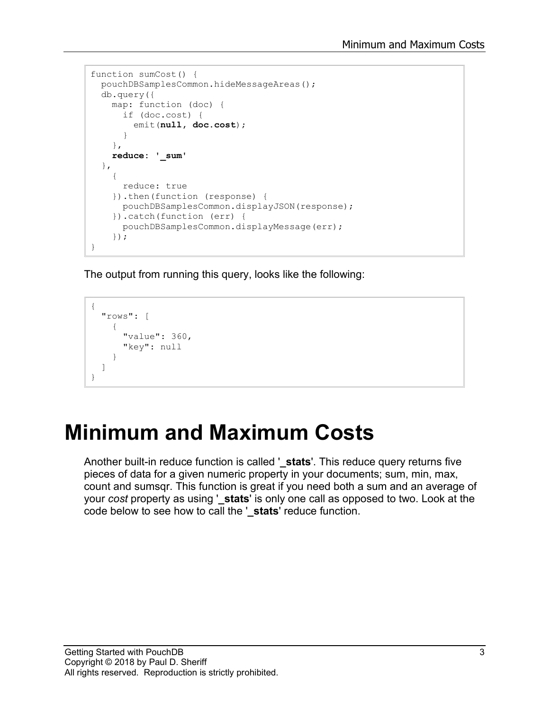```
function sumCost() {
  pouchDBSamplesCommon.hideMessageAreas();
   db.query({
    map: function (doc) {
      if (doc.cost) {
        emit(null, doc.cost);
       }
     },
     reduce: '_sum'
   },
     {
       reduce: true
     }).then(function (response) {
      pouchDBSamplesCommon.displayJSON(response);
     }).catch(function (err) {
      pouchDBSamplesCommon.displayMessage(err);
     });
}
```
The output from running this query, looks like the following:

```
{
   "rows": [
      {
        "value": 360,
        "key": null
      }
   ]
}
```
## **Minimum and Maximum Costs**

Another built-in reduce function is called '**\_stats**'. This reduce query returns five pieces of data for a given numeric property in your documents; sum, min, max, count and sumsqr. This function is great if you need both a sum and an average of your *cost* property as using '**\_stats**' is only one call as opposed to two. Look at the code below to see how to call the '**\_stats**' reduce function.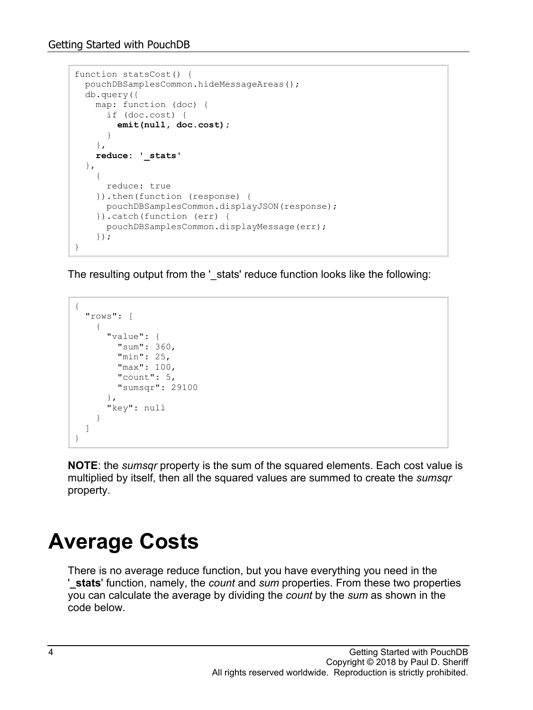```
function statsCost() {
  pouchDBSamplesCommon.hideMessageAreas();
  db.query({
    map: function (doc) {
      if (doc.cost) {
        emit(null, doc.cost);
       }
     },
    reduce: '_stats'
  },
     {
      reduce: true
    }).then(function (response) {
      pouchDBSamplesCommon.displayJSON(response);
     }).catch(function (err) {
      pouchDBSamplesCommon.displayMessage(err);
     });
}
```
The resulting output from the '\_stats' reduce function looks like the following:

```
{
   "rows": [
     {
        "value": {
          "sum": 360,
          "min": 25,
          "max": 100,
          "count": 5,
         "sumsqr": 29100
        },
        "key": null
     }
   ]
}
```
**NOTE**: the *sumsqr* property is the sum of the squared elements. Each cost value is multiplied by itself, then all the squared values are summed to create the *sumsqr* property.

## **Average Costs**

There is no average reduce function, but you have everything you need in the '**\_stats**' function, namely, the *count* and *sum* properties. From these two properties you can calculate the average by dividing the *count* by the *sum* as shown in the code below.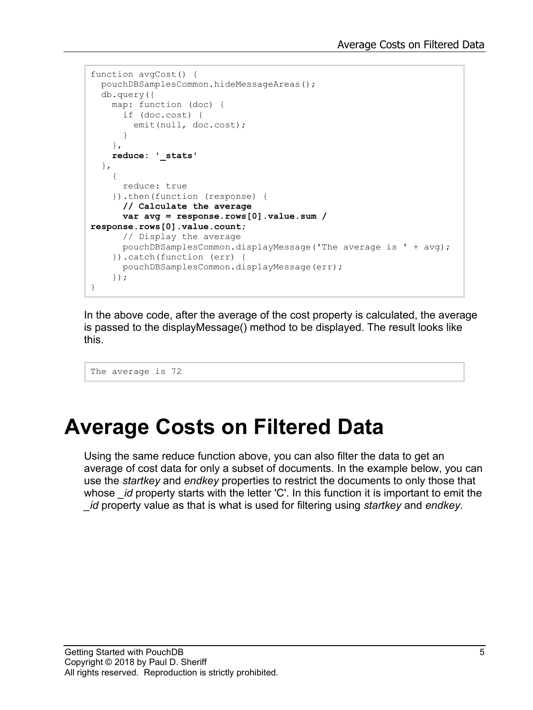```
function avgCost() {
  pouchDBSamplesCommon.hideMessageAreas();
  db.query({
    map: function (doc) {
      if (doc.cost) {
       emit(null, doc.cost);
       }
     },
    reduce: '_stats'
   },
\{ reduce: true
     }).then(function (response) {
       // Calculate the average
       var avg = response.rows[0].value.sum / 
response.rows[0].value.count;
      // Display the average
       pouchDBSamplesCommon.displayMessage('The average is ' + avg);
     }).catch(function (err) {
      pouchDBSamplesCommon.displayMessage(err);
     });
}
```
In the above code, after the average of the cost property is calculated, the average is passed to the displayMessage() method to be displayed. The result looks like this.

The average is 72

#### **Average Costs on Filtered Data**

Using the same reduce function above, you can also filter the data to get an average of cost data for only a subset of documents. In the example below, you can use the *startkey* and *endkey* properties to restrict the documents to only those that whose *id* property starts with the letter 'C'. In this function it is important to emit the *\_id* property value as that is what is used for filtering using *startkey* and *endkey*.